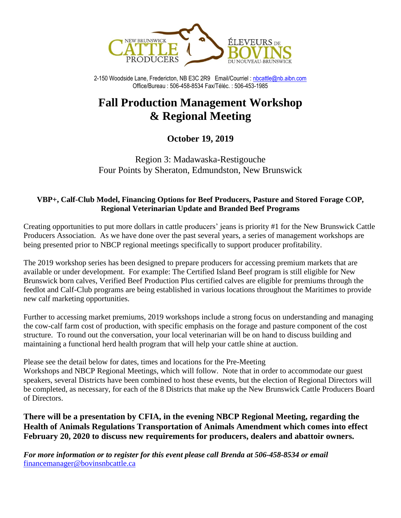

2-150 Woodside Lane, Fredericton, NB E3C 2R9 Email/Courriel [: nbcattle@nb.aibn.com](mailto:nbcattle@nb.aibn.com) Office/Bureau : 506-458-8534 Fax/Téléc. : 506-453-1985

# **Fall Production Management Workshop & Regional Meeting**

# **October 19, 2019**

Region 3: Madawaska-Restigouche Four Points by Sheraton, Edmundston, New Brunswick

### **VBP+, Calf-Club Model, Financing Options for Beef Producers, Pasture and Stored Forage COP, Regional Veterinarian Update and Branded Beef Programs**

Creating opportunities to put more dollars in cattle producers' jeans is priority #1 for the New Brunswick Cattle Producers Association. As we have done over the past several years, a series of management workshops are being presented prior to NBCP regional meetings specifically to support producer profitability.

The 2019 workshop series has been designed to prepare producers for accessing premium markets that are available or under development. For example: The Certified Island Beef program is still eligible for New Brunswick born calves, Verified Beef Production Plus certified calves are eligible for premiums through the feedlot and Calf-Club programs are being established in various locations throughout the Maritimes to provide new calf marketing opportunities.

Further to accessing market premiums, 2019 workshops include a strong focus on understanding and managing the cow-calf farm cost of production, with specific emphasis on the forage and pasture component of the cost structure. To round out the conversation, your local veterinarian will be on hand to discuss building and maintaining a functional herd health program that will help your cattle shine at auction.

Please see the detail below for dates, times and locations for the Pre-Meeting

Workshops and NBCP Regional Meetings, which will follow. Note that in order to accommodate our guest speakers, several Districts have been combined to host these events, but the election of Regional Directors will be completed, as necessary, for each of the 8 Districts that make up the New Brunswick Cattle Producers Board of Directors.

**There will be a presentation by CFIA, in the evening NBCP Regional Meeting, regarding the Health of Animals Regulations Transportation of Animals Amendment which comes into effect February 20, 2020 to discuss new requirements for producers, dealers and abattoir owners.**

*For more information or to register for this event please call Brenda at 506-458-8534 or email* [financemanager@bovinsnbcattle.ca](mailto:financemanager@bovinsnbcattle.ca)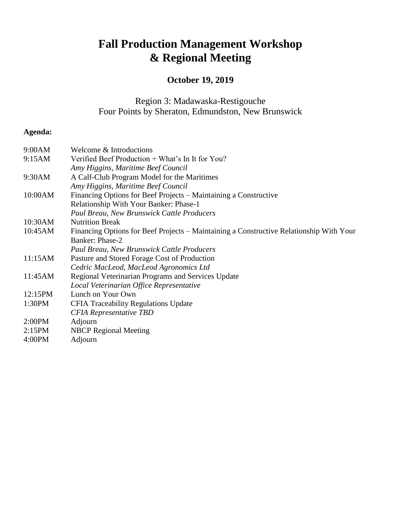# **Fall Production Management Workshop & Regional Meeting**

# **October 19, 2019**

Region 3: Madawaska-Restigouche Four Points by Sheraton, Edmundston, New Brunswick

## **Agenda:**

| 9:00AM  | Welcome & Introductions                                                                 |
|---------|-----------------------------------------------------------------------------------------|
| 9:15AM  | Verified Beef Production + What's In It for You?                                        |
|         | Amy Higgins, Maritime Beef Council                                                      |
| 9:30AM  | A Calf-Club Program Model for the Maritimes                                             |
|         | Amy Higgins, Maritime Beef Council                                                      |
| 10:00AM | Financing Options for Beef Projects – Maintaining a Constructive                        |
|         | Relationship With Your Banker: Phase-1                                                  |
|         | Paul Breau, New Brunswick Cattle Producers                                              |
| 10:30AM | <b>Nutrition Break</b>                                                                  |
| 10:45AM | Financing Options for Beef Projects – Maintaining a Constructive Relationship With Your |
|         | Banker: Phase-2                                                                         |
|         | <b>Paul Breau, New Brunswick Cattle Producers</b>                                       |
| 11:15AM | Pasture and Stored Forage Cost of Production                                            |
|         | Cedric MacLeod, MacLeod Agronomics Ltd                                                  |
| 11:45AM | Regional Veterinarian Programs and Services Update                                      |
|         | Local Veterinarian Office Representative                                                |
| 12:15PM | Lunch on Your Own                                                                       |
| 1:30PM  | <b>CFIA Traceability Regulations Update</b>                                             |
|         | <b>CFIA Representative TBD</b>                                                          |
| 2:00PM  | Adjourn                                                                                 |
| 2:15PM  | <b>NBCP</b> Regional Meeting                                                            |
| 4:00PM  | Adjourn                                                                                 |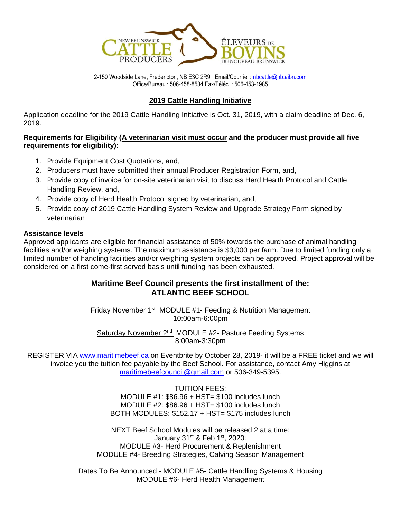

2-150 Woodside Lane, Fredericton, NB E3C 2R9 Email/Courriel [: nbcattle@nb.aibn.com](mailto:nbcattle@nb.aibn.com) Office/Bureau : 506-458-8534 Fax/Téléc. : 506-453-1985

#### **2019 Cattle Handling Initiative**

Application deadline for the 2019 Cattle Handling Initiative is Oct. 31, 2019, with a claim deadline of Dec. 6, 2019.

#### **Requirements for Eligibility (A veterinarian visit must occur and the producer must provide all five requirements for eligibility):**

- 1. Provide Equipment Cost Quotations, and,
- 2. Producers must have submitted their annual Producer Registration Form, and,
- 3. Provide copy of invoice for on-site veterinarian visit to discuss Herd Health Protocol and Cattle Handling Review, and,
- 4. Provide copy of Herd Health Protocol signed by veterinarian, and,
- 5. Provide copy of 2019 Cattle Handling System Review and Upgrade Strategy Form signed by veterinarian

#### **Assistance levels**

Approved applicants are eligible for financial assistance of 50% towards the purchase of animal handling facilities and/or weighing systems. The maximum assistance is \$3,000 per farm. Due to limited funding only a limited number of handling facilities and/or weighing system projects can be approved. Project approval will be considered on a first come-first served basis until funding has been exhausted.

#### **Maritime Beef Council presents the first installment of the: ATLANTIC BEEF SCHOOL**

Friday November 1<sup>st</sup> MODULE #1- Feeding & Nutrition Management 10:00am-6:00pm

Saturday November 2<sup>nd</sup> MODULE #2- Pasture Feeding Systems 8:00am-3:30pm

REGISTER VIA [www.maritimebeef.ca](http://www.maritimebeef.ca/) on Eventbrite by October 28, 2019- it will be a FREE ticket and we will invoice you the tuition fee payable by the Beef School. For assistance, contact Amy Higgins at [maritimebeefcouncil@gmail.com](mailto:maritimebeefcouncil@gmail.com) or 506-349-5395.

#### TUITION FEES:

MODULE #1: \$86.96 + HST= \$100 includes lunch MODULE #2: \$86.96 + HST= \$100 includes lunch BOTH MODULES: \$152.17 + HST= \$175 includes lunch

NEXT Beef School Modules will be released 2 at a time: January 31st & Feb 1st, 2020: MODULE #3- Herd Procurement & Replenishment MODULE #4- Breeding Strategies, Calving Season Management

Dates To Be Announced - MODULE #5- Cattle Handling Systems & Housing MODULE #6- Herd Health Management